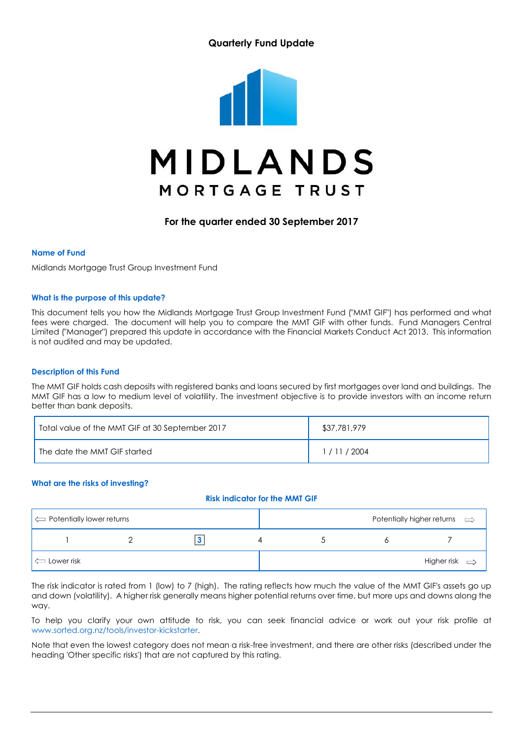### Quarterly Fund Update



### For the quarter ended 30 September 2017

#### Name of Fund

Midlands Mortgage Trust Group Investment Fund

#### What is the purpose of this update?

This document tells you how the Midlands Mortgage Trust Group Investment Fund ("MMT GIF") has performed and what fees were charged. The document will help you to compare the MMT GIF with other funds. Fund Managers Central Limited ("Manager") prepared this update in accordance with the Financial Markets Conduct Act 2013. This information is not audited and may be updated.

#### Description of this Fund

The MMT GIF holds cash deposits with registered banks and loans secured by first mortgages over land and buildings. The MMT GIF has a low to medium level of volatility. The investment objective is to provide investors with an income return better than bank deposits.

| Total value of the MMT GIF at 30 September 2017 | \$37,781,979 |
|-------------------------------------------------|--------------|
| The date the MMT GIF started                    | / 11 / 2004  |

#### What are the risks of investing?

#### Risk indicator for the MMT GIF

| $\vert \Leftrightarrow$ Potentially lower returns |  |  | Potentially higher returns $\implies$ |
|---------------------------------------------------|--|--|---------------------------------------|
|                                                   |  |  |                                       |
| $\Longleftarrow$ Lower risk                       |  |  | Higher risk $\Rightarrow$             |

The risk indicator is rated from 1 (low) to 7 (high). The rating reflects how much the value of the MMT GIF's assets go up and down (volatility). A higher risk generally means higher potential returns over time, but more ups and downs along the way.

To help you clarify your own attitude to risk, you can seek financial advice or work out your risk profile at www.sorted.org.nz/tools/investor-kickstarter.

Note that even the lowest category does not mean a risk-free investment, and there are other risks (described under the heading 'Other specific risks') that are not captured by this rating.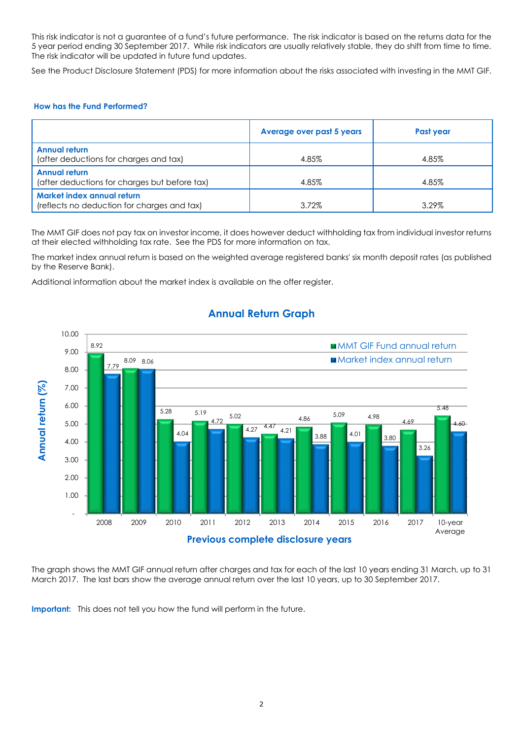This risk indicator is not a guarantee of a fund's future performance. The risk indicator is based on the returns data for the 5 year period ending 30 September 2017. While risk indicators are usually relatively stable, they do shift from time to time. The risk indicator will be updated in future fund updates.

See the Product Disclosure Statement (PDS) for more information about the risks associated with investing in the MMT GIF.

### How has the Fund Performed?

|                                                                           | <b>Average over past 5 years</b> | Past year |
|---------------------------------------------------------------------------|----------------------------------|-----------|
| <b>Annual return</b><br>(after deductions for charges and tax)            | 4.85%                            | 4.85%     |
| <b>Annual return</b><br>(after deductions for charges but before tax)     | 4.85%                            | 4.85%     |
| Market index annual return<br>(reflects no deduction for charges and tax) | 3.72%                            | 3.29%     |

The MMT GIF does not pay tax on investor income, it does however deduct withholding tax from individual investor returns at their elected withholding tax rate. See the PDS for more information on tax.

The market index annual return is based on the weighted average registered banks' six month deposit rates (as published by the Reserve Bank).

Additional information about the market index is available on the offer register.



# Annual Return Graph

The graph shows the MMT GIF annual return after charges and tax for each of the last 10 years ending 31 March, up to 31 March 2017. The last bars show the average annual return over the last 10 years, up to 30 September 2017.

Important: This does not tell you how the fund will perform in the future.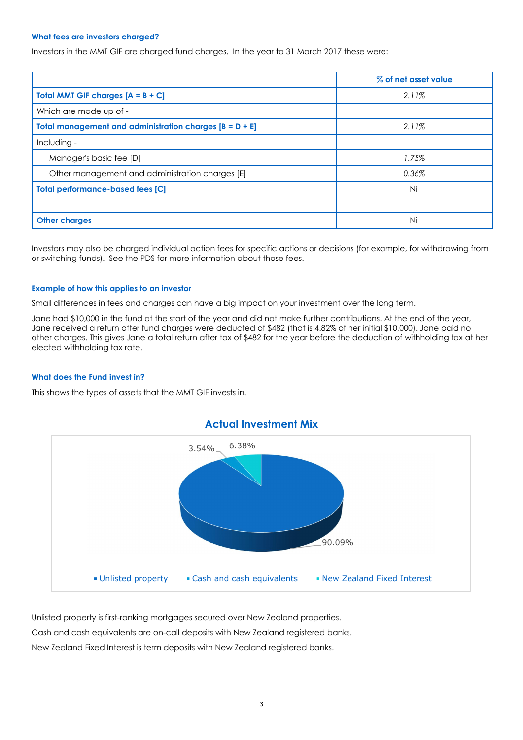#### What fees are investors charged?

Investors in the MMT GIF are charged fund charges. In the year to 31 March 2017 these were:

|                                                           | % of net asset value |
|-----------------------------------------------------------|----------------------|
| <b>Total MMT GIF charges <math>[A = B + C]</math></b>     | 2.11%                |
| Which are made up of -                                    |                      |
| Total management and administration charges $[B = D + E]$ | 2.11%                |
| Including -                                               |                      |
| Manager's basic fee [D]                                   | 1.75%                |
| Other management and administration charges [E]           | 0.36%                |
| <b>Total performance-based fees [C]</b>                   | Nil                  |
|                                                           |                      |
| <b>Other charges</b>                                      | Nil                  |

Investors may also be charged individual action fees for specific actions or decisions (for example, for withdrawing from or switching funds). See the PDS for more information about those fees.

#### Example of how this applies to an investor

Small differences in fees and charges can have a big impact on your investment over the long term.

Jane had \$10,000 in the fund at the start of the year and did not make further contributions. At the end of the year, Jane received a return after fund charges were deducted of \$482 (that is 4.82% of her initial \$10,000). Jane paid no other charges. This gives Jane a total return after tax of \$482 for the year before the deduction of withholding tax at her elected withholding tax rate.

#### What does the Fund invest in?

This shows the types of assets that the MMT GIF invests in.



Unlisted property is first-ranking mortgages secured over New Zealand properties. Cash and cash equivalents are on-call deposits with New Zealand registered banks. New Zealand Fixed Interest is term deposits with New Zealand registered banks.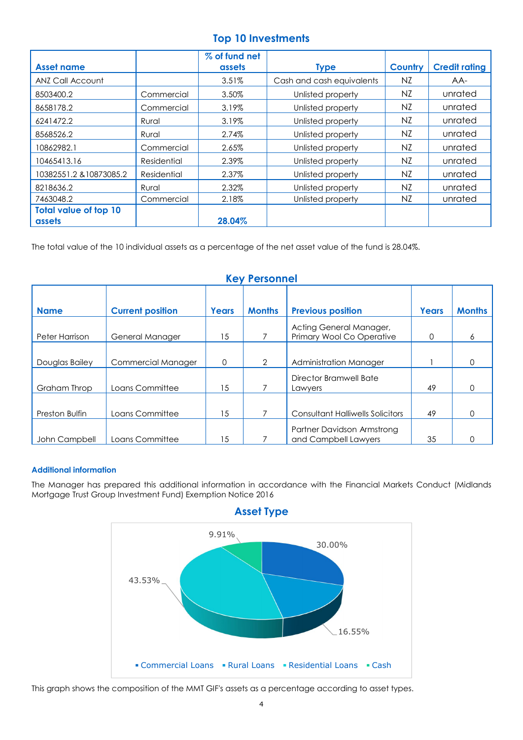# Top 10 Investments

|                              |             | % of fund net |                           |         |                      |
|------------------------------|-------------|---------------|---------------------------|---------|----------------------|
| <b>Asset name</b>            |             | assets        | <b>Type</b>               | Country | <b>Credit rating</b> |
| ANZ Call Account             |             | 3.51%         | Cash and cash equivalents | NZ.     | AA-                  |
| 8503400.2                    | Commercial  | 3.50%         | Unlisted property         | NZ.     | unrated              |
| 8658178.2                    | Commercial  | 3.19%         | Unlisted property         | NZ.     | unrated              |
| 6241472.2                    | Rural       | 3.19%         | Unlisted property         | NZ.     | unrated              |
| 8568526.2                    | Rural       | 2.74%         | Unlisted property         | NZ      | unrated              |
| 10862982.1                   | Commercial  | 2.65%         | Unlisted property         | NZ.     | unrated              |
| 10465413.16                  | Residential | 2.39%         | Unlisted property         | NZ      | unrated              |
| 10382551.2 & 10873085.2      | Residential | 2.37%         | Unlisted property         | NZ      | unrated              |
| 8218636.2                    | Rural       | 2.32%         | Unlisted property         | NZ      | unrated              |
| 7463048.2                    | Commercial  | 2.18%         | Unlisted property         | NZ.     | unrated              |
| <b>Total value of top 10</b> |             |               |                           |         |                      |
| assets                       |             | 28.04%        |                           |         |                      |

The total value of the 10 individual assets as a percentage of the net asset value of the fund is 28.04%.

| <u>UCA I CISAILICI</u> |                         |       |               |                                                      |              |               |
|------------------------|-------------------------|-------|---------------|------------------------------------------------------|--------------|---------------|
| <b>Name</b>            | <b>Current position</b> | Years | <b>Months</b> | <b>Previous position</b>                             | <b>Years</b> | <b>Months</b> |
| Peter Harrison         | General Manager         | 15    |               | Acting General Manager,<br>Primary Wool Co Operative | 0            | 6             |
| Douglas Bailey         | Commercial Manager      | 0     | 2             | Administration Manager                               |              | 0             |
| Graham Throp           | Loans Committee         | 15    | 7             | Director Bramwell Bate<br>Lawyers                    | 49           | O             |
| Preston Bulfin         | Loans Committee         | 15    | 7             | <b>Consultant Halliwells Solicitors</b>              | 49           | O             |
| John Campbell          | Loans Committee         | 15    |               | Partner Davidson Armstrong<br>and Campbell Lawyers   | 35           |               |

# Key Personnel

### Additional information

The Manager has prepared this additional information in accordance with the Financial Markets Conduct (Midlands Mortgage Trust Group Investment Fund) Exemption Notice 2016



This graph shows the composition of the MMT GIF's assets as a percentage according to asset types.